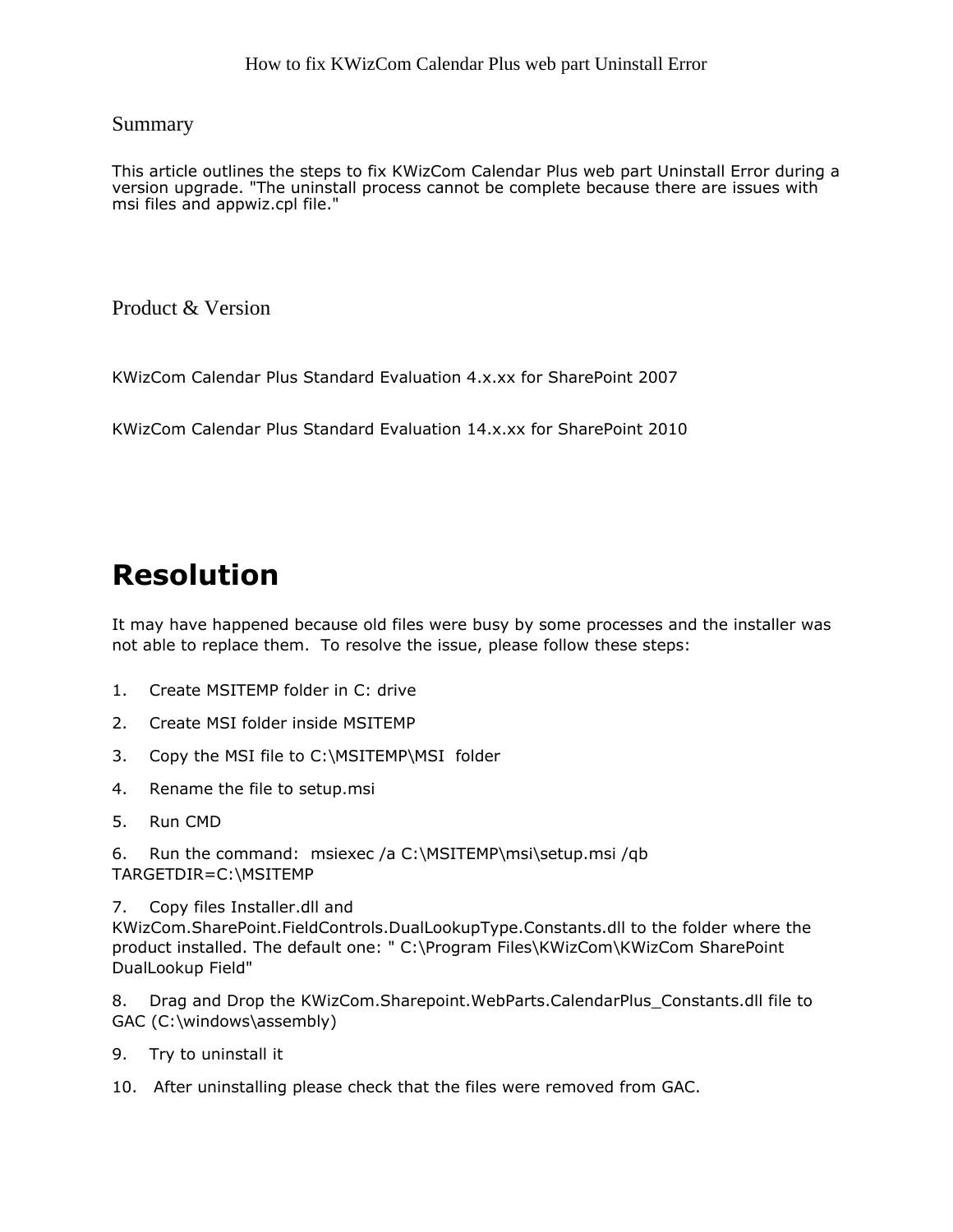## Summary

This article outlines the steps to fix KWizCom Calendar Plus web part Uninstall Error during a version upgrade. "The uninstall process cannot be complete because there are issues with msi files and appwiz.cpl file."

Product & Version

KWizCom Calendar Plus Standard Evaluation 4.x.xx for SharePoint 2007

KWizCom Calendar Plus Standard Evaluation 14.x.xx for SharePoint 2010

## Resolution

It may have happened because old files were busy by some processes and the installer was not able to replace them. To resolve the issue, please follow these steps:

- 1. Create MSITEMP folder in C: drive
- 2. Create MSI folder inside MSITEMP
- 3. Copy the MSI file to C:\MSITEMP\MSI folder
- 4. Rename the file to setup.msi
- 5. Run CMD

6. Run the command: msiexec /a C:\MSITEMP\msi\setup.msi /qb TARGETDIR=C:\MSITEMP

7. Copy files Installer.dll and KWizCom.SharePoint.FieldControls.DualLookupType.Constants.dll to the folder where the product installed. The default one: " C:\Program Files\KWizCom\KWizCom SharePoint DualLookup Field"

8. Drag and Drop the KWizCom.Sharepoint.WebParts.CalendarPlus\_Constants.dll file to GAC (C:\windows\assembly)

- 9. Try to uninstall it
- 10. After uninstalling please check that the files were removed from GAC.